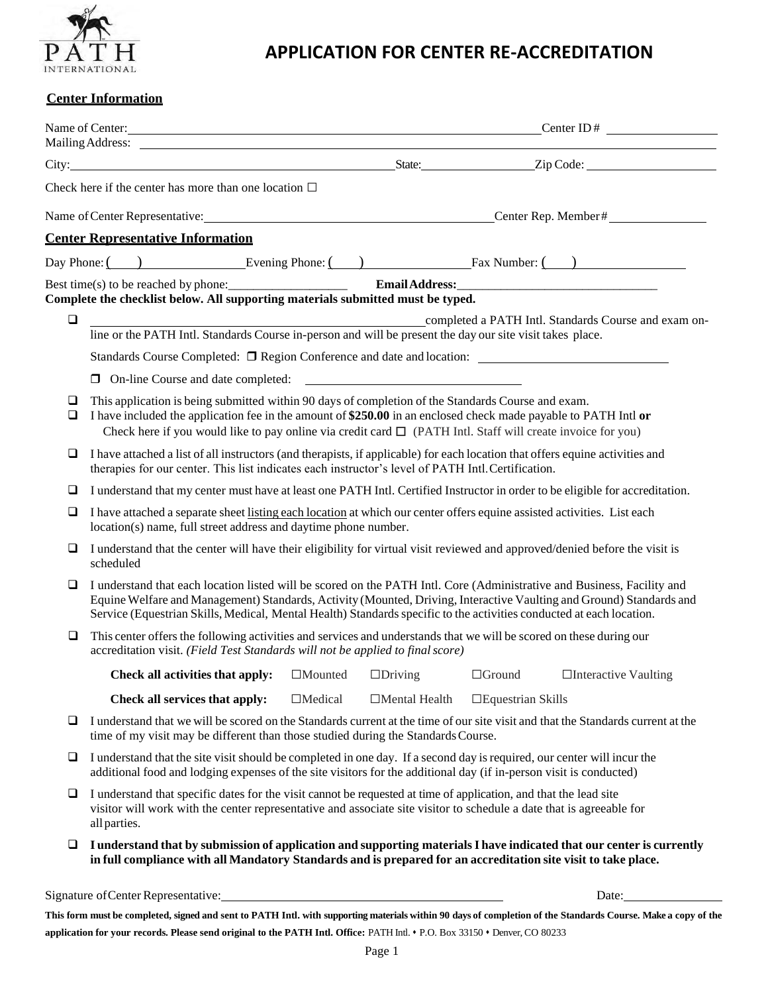

## **APPLICATION FOR CENTER RE-ACCREDITATION**

## **Center Information**

|             | Name of Center: Content Content Content Content Content Content Content ID #<br>Mailing Address: <u>National Address</u>                                                                                                                                                                                                                                                |                |                      |                             |       |  |
|-------------|-------------------------------------------------------------------------------------------------------------------------------------------------------------------------------------------------------------------------------------------------------------------------------------------------------------------------------------------------------------------------|----------------|----------------------|-----------------------------|-------|--|
|             |                                                                                                                                                                                                                                                                                                                                                                         |                |                      |                             |       |  |
|             | Check here if the center has more than one location $\Box$                                                                                                                                                                                                                                                                                                              |                |                      |                             |       |  |
|             |                                                                                                                                                                                                                                                                                                                                                                         |                |                      |                             |       |  |
|             | Name of Center Representative: Canadian Center Rep. Member #<br><b>Center Representative Information</b>                                                                                                                                                                                                                                                                |                |                      |                             |       |  |
|             | Day Phone: $\begin{array}{c} \begin{array}{c} \hline \end{array} \end{array}$ Evening Phone: $\begin{array}{c} \hline \end{array}$ Fax Number: $\begin{array}{c} \hline \end{array}$                                                                                                                                                                                    |                |                      |                             |       |  |
|             | Best time(s) to be reached by phone:<br>$\boxed{\text{Email Address:}\_\_\_\_\_\_\_}$                                                                                                                                                                                                                                                                                   |                |                      |                             |       |  |
|             | Complete the checklist below. All supporting materials submitted must be typed.                                                                                                                                                                                                                                                                                         |                |                      |                             |       |  |
| $\Box$      | completed a PATH Intl. Standards Course in-person and will be present the day our site visit takes place.                                                                                                                                                                                                                                                               |                |                      |                             |       |  |
|             |                                                                                                                                                                                                                                                                                                                                                                         |                |                      |                             |       |  |
|             |                                                                                                                                                                                                                                                                                                                                                                         |                |                      |                             |       |  |
| ⊔<br>$\Box$ | This application is being submitted within 90 days of completion of the Standards Course and exam.<br>I have included the application fee in the amount of \$250.00 in an enclosed check made payable to PATH Intl or<br>Check here if you would like to pay online via credit card $\Box$ (PATH Intl. Staff will create invoice for you)                               |                |                      |                             |       |  |
| ❏           | I have attached a list of all instructors (and therapists, if applicable) for each location that offers equine activities and<br>therapies for our center. This list indicates each instructor's level of PATH Intl. Certification.                                                                                                                                     |                |                      |                             |       |  |
| ⊔           | I understand that my center must have at least one PATH Intl. Certified Instructor in order to be eligible for accreditation.                                                                                                                                                                                                                                           |                |                      |                             |       |  |
| $\Box$      | I have attached a separate sheet listing each location at which our center offers equine assisted activities. List each<br>location(s) name, full street address and daytime phone number.                                                                                                                                                                              |                |                      |                             |       |  |
| ❏           | I understand that the center will have their eligibility for virtual visit reviewed and approved/denied before the visit is<br>scheduled                                                                                                                                                                                                                                |                |                      |                             |       |  |
| ❏           | I understand that each location listed will be scored on the PATH Intl. Core (Administrative and Business, Facility and<br>Equine Welfare and Management) Standards, Activity (Mounted, Driving, Interactive Vaulting and Ground) Standards and<br>Service (Equestrian Skills, Medical, Mental Health) Standards specific to the activities conducted at each location. |                |                      |                             |       |  |
| $\Box$      | This center offers the following activities and services and understands that we will be scored on these during our<br>accreditation visit. (Field Test Standards will not be applied to final score)                                                                                                                                                                   |                |                      |                             |       |  |
|             | <b>Check all activities that apply:</b> $\Box$ Mounted $\Box$ Driving $\Box$ Ground $\Box$ Interactive Vaulting                                                                                                                                                                                                                                                         |                |                      |                             |       |  |
|             | Check all services that apply:                                                                                                                                                                                                                                                                                                                                          | $\Box$ Medical | $\Box$ Mental Health | $\square$ Equestrian Skills |       |  |
| ⊔           | I understand that we will be scored on the Standards current at the time of our site visit and that the Standards current at the<br>time of my visit may be different than those studied during the Standards Course.                                                                                                                                                   |                |                      |                             |       |  |
| ⊔           | I understand that the site visit should be completed in one day. If a second day is required, our center will incur the<br>additional food and lodging expenses of the site visitors for the additional day (if in-person visit is conducted)                                                                                                                           |                |                      |                             |       |  |
| ⊔           | I understand that specific dates for the visit cannot be requested at time of application, and that the lead site<br>visitor will work with the center representative and associate site visitor to schedule a date that is agreeable for<br>all parties.                                                                                                               |                |                      |                             |       |  |
| ⊔           | I understand that by submission of application and supporting materials I have indicated that our center is currently<br>in full compliance with all Mandatory Standards and is prepared for an accreditation site visit to take place.                                                                                                                                 |                |                      |                             |       |  |
|             | Signature of Center Representative:                                                                                                                                                                                                                                                                                                                                     |                |                      |                             | Date: |  |

**This form must be completed, signed and sent to PATH Intl. with supporting materials within 90 days of completion of the Standards Course. Make a copy of the application for your records. Please send original to the PATH Intl. Office:** PATH Intl. ⬧ P.O. Box 33150 ⬧ Denver, CO 80233